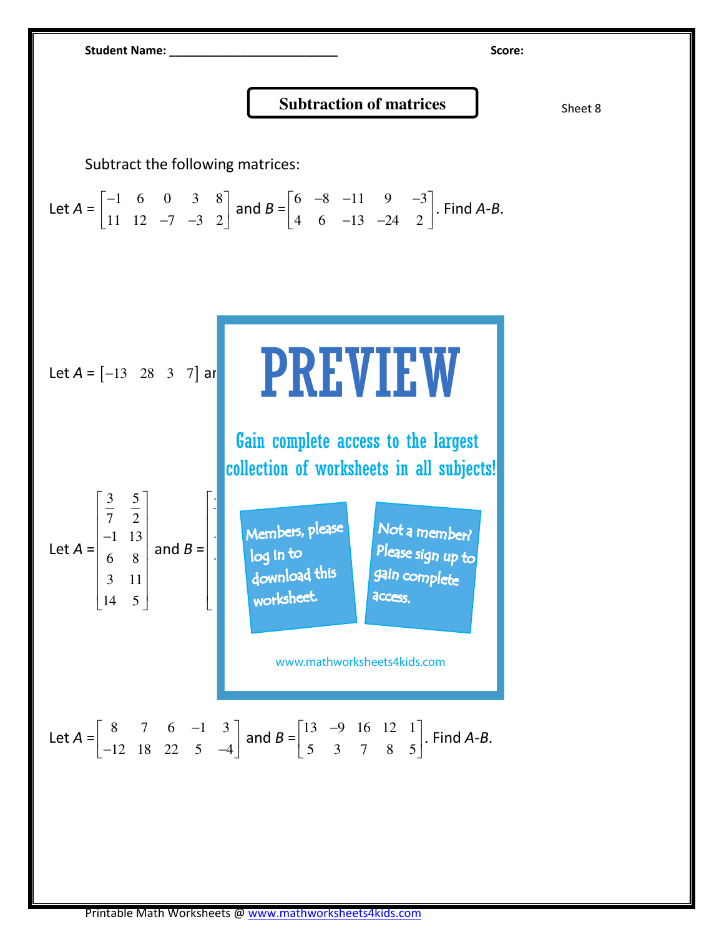